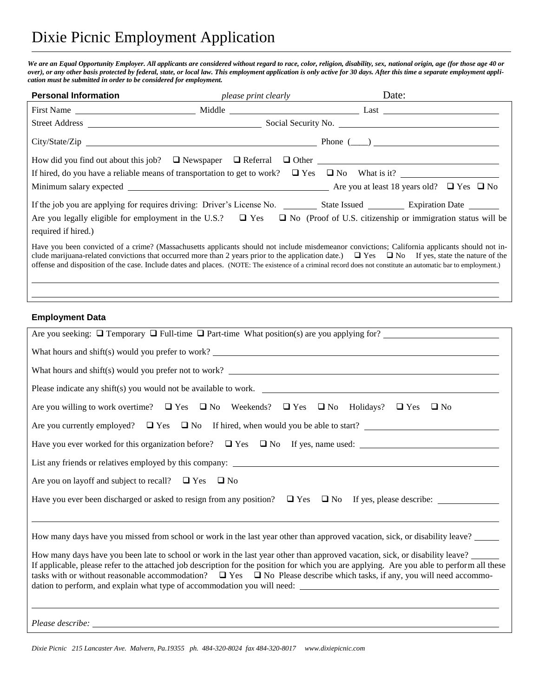*We are an Equal Opportunity Employer. All applicants are considered without regard to race, color, religion, disability, sex, national origin, age (for those age 40 or over), or any other basis protected by federal, state, or local law. This employment application is only active for 30 days. After this time a separate employment application must be submitted in order to be considered for employment.*

| <b>Personal Information</b>                                                                               | please print clearly and the control of the set of the set of the set of the set of the set of the set of the s | Date:                                                                                                                                                                                                                                                                                                                                                                                                                                                                       |
|-----------------------------------------------------------------------------------------------------------|-----------------------------------------------------------------------------------------------------------------|-----------------------------------------------------------------------------------------------------------------------------------------------------------------------------------------------------------------------------------------------------------------------------------------------------------------------------------------------------------------------------------------------------------------------------------------------------------------------------|
|                                                                                                           |                                                                                                                 |                                                                                                                                                                                                                                                                                                                                                                                                                                                                             |
|                                                                                                           |                                                                                                                 |                                                                                                                                                                                                                                                                                                                                                                                                                                                                             |
|                                                                                                           |                                                                                                                 |                                                                                                                                                                                                                                                                                                                                                                                                                                                                             |
|                                                                                                           |                                                                                                                 |                                                                                                                                                                                                                                                                                                                                                                                                                                                                             |
| If hired, do you have a reliable means of transportation to get to work? $\Box$ Yes $\Box$ No What is it? |                                                                                                                 |                                                                                                                                                                                                                                                                                                                                                                                                                                                                             |
|                                                                                                           |                                                                                                                 |                                                                                                                                                                                                                                                                                                                                                                                                                                                                             |
|                                                                                                           |                                                                                                                 |                                                                                                                                                                                                                                                                                                                                                                                                                                                                             |
|                                                                                                           |                                                                                                                 | Are you legally eligible for employment in the U.S.? $\square$ Yes $\square$ No (Proof of U.S. citizenship or immigration status will be                                                                                                                                                                                                                                                                                                                                    |
| required if hired.)                                                                                       |                                                                                                                 |                                                                                                                                                                                                                                                                                                                                                                                                                                                                             |
|                                                                                                           |                                                                                                                 | Have you been convicted of a crime? (Massachusetts applicants should not include misdemeanor convictions; California applicants should not in-<br>clude marijuana-related convictions that occurred more than 2 years prior to the application date.) $\Box$ Yes $\Box$ No If yes, state the nature of the<br>offense and disposition of the case. Include dates and places. (NOTE: The existence of a criminal record does not constitute an automatic bar to employment.) |

### **Employment Data**

| Are you seeking: $\Box$ Temporary $\Box$ Full-time $\Box$ Part-time What position(s) are you applying for?                                                                                                                                                                                                                                                                                                     |
|----------------------------------------------------------------------------------------------------------------------------------------------------------------------------------------------------------------------------------------------------------------------------------------------------------------------------------------------------------------------------------------------------------------|
|                                                                                                                                                                                                                                                                                                                                                                                                                |
|                                                                                                                                                                                                                                                                                                                                                                                                                |
| Please indicate any shift(s) you would not be available to work.                                                                                                                                                                                                                                                                                                                                               |
| Are you willing to work overtime? $\Box$ Yes $\Box$ No Weekends? $\Box$ Yes $\Box$ No Holidays? $\Box$ Yes<br>$\square$ No                                                                                                                                                                                                                                                                                     |
| Are you currently employed? $\Box$ Yes $\Box$ No If hired, when would you be able to start?                                                                                                                                                                                                                                                                                                                    |
|                                                                                                                                                                                                                                                                                                                                                                                                                |
|                                                                                                                                                                                                                                                                                                                                                                                                                |
| Are you on layoff and subject to recall? $\Box$ Yes $\Box$ No                                                                                                                                                                                                                                                                                                                                                  |
| Have you ever been discharged or asked to resign from any position? $\Box$ Yes $\Box$ No If yes, please describe: $\Box$                                                                                                                                                                                                                                                                                       |
|                                                                                                                                                                                                                                                                                                                                                                                                                |
| How many days have you missed from school or work in the last year other than approved vacation, sick, or disability leave?                                                                                                                                                                                                                                                                                    |
| How many days have you been late to school or work in the last year other than approved vacation, sick, or disability leave?<br>If applicable, please refer to the attached job description for the position for which you are applying. Are you able to perform all these<br>tasks with or without reasonable accommodation? $\Box$ Yes $\Box$ No Please describe which tasks, if any, you will need accommo- |
|                                                                                                                                                                                                                                                                                                                                                                                                                |

*Dixie Picnic 215 Lancaster Ave. Malvern, Pa.19355 ph. 484-320-8024 fax 484-320-8017 www.dixiepicnic.com*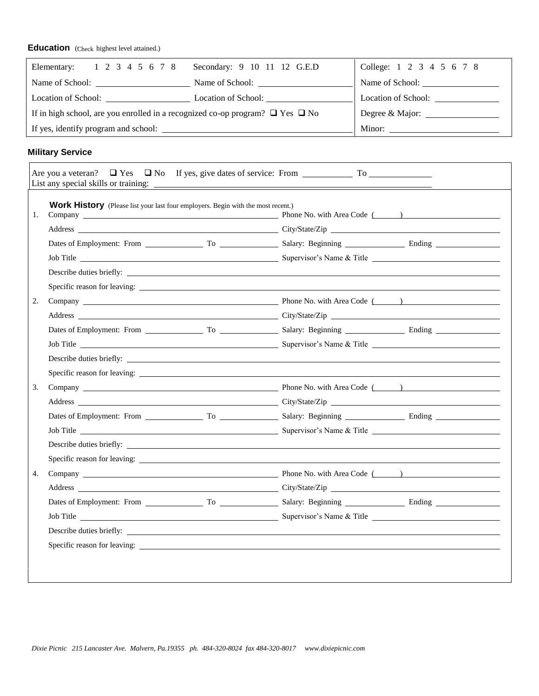#### **Education** (Check highest level attained.)

| Elementary: 1 2 3 4 5 6 7 8 Secondary: 9 10 11 12 G.E.D                                 |                     | College: 1 2 3 4 5 6 7 8 |  |
|-----------------------------------------------------------------------------------------|---------------------|--------------------------|--|
| Name of School:                                                                         | Name of School:     | Name of School:          |  |
| Location of School:                                                                     | Location of School: | Location of School:      |  |
| If in high school, are you enrolled in a recognized co-op program? $\Box$ Yes $\Box$ No |                     | Degree & Major: 2008     |  |
| If yes, identify program and school:                                                    |                     | Minor:                   |  |

# **Military Service**

| Work History (Please list your last four employers. Begin with the most recent.)<br>1. |  |
|----------------------------------------------------------------------------------------|--|
|                                                                                        |  |
|                                                                                        |  |
|                                                                                        |  |
|                                                                                        |  |
|                                                                                        |  |
| 2.                                                                                     |  |
|                                                                                        |  |
|                                                                                        |  |
|                                                                                        |  |
|                                                                                        |  |
|                                                                                        |  |
| 3.                                                                                     |  |
|                                                                                        |  |
|                                                                                        |  |
|                                                                                        |  |
|                                                                                        |  |
|                                                                                        |  |
| 4.                                                                                     |  |
|                                                                                        |  |
|                                                                                        |  |
|                                                                                        |  |
|                                                                                        |  |
|                                                                                        |  |